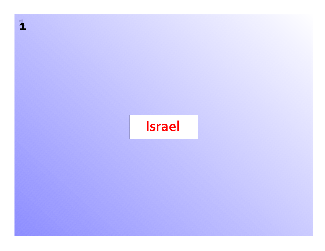# **Israel**

**11**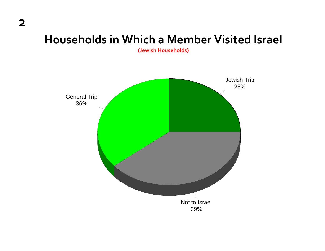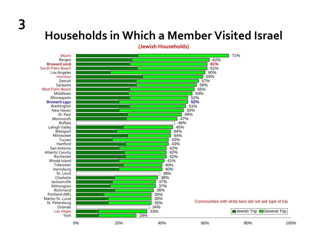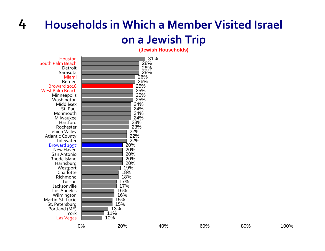#### **4 Households in Whicha Member Visited Israel on a Jewish Trip**

| Houston<br>South Palm Beach<br>Detroit<br>Sarasota<br>Miami<br>Bergen<br>Broward 2016<br><b>West Palm Beach</b><br>Minneapolis<br>Washington<br>Middlesex<br>St. Paul<br>Monmouth<br>Milwaukee<br>Hartford<br>Rochester<br>Lehigh Valley<br><b>Atlantic County</b><br>Tidewater<br>Broward 1997<br>New Haven<br>San Antonio<br>Rhode Island<br>Harrisburg<br>Westport<br>Charlotte<br>Richmond<br>Tucson<br>Jacksonville<br>Los Angeles<br>Wilmington<br>Martin-St. Lucie<br>St. Petersburg<br>Portland (ME)<br>York<br>Las Vegas |    | 26%<br>26%<br>25%<br>25%<br>25%<br>25%<br>24%<br>24%<br>24%<br>24%<br>23%<br>23%<br>22%<br>22%<br>22%<br>20%<br>20%<br>20%<br>20%<br>20%<br>19%<br>18%<br>18%<br>17%<br>17%<br>16%<br>16%<br>15%<br>15%<br>13%<br>11%<br>10% | 31%<br>28%<br>28%<br>28% |     |     |      |
|-----------------------------------------------------------------------------------------------------------------------------------------------------------------------------------------------------------------------------------------------------------------------------------------------------------------------------------------------------------------------------------------------------------------------------------------------------------------------------------------------------------------------------------|----|------------------------------------------------------------------------------------------------------------------------------------------------------------------------------------------------------------------------------|--------------------------|-----|-----|------|
|                                                                                                                                                                                                                                                                                                                                                                                                                                                                                                                                   | 0% | 20%                                                                                                                                                                                                                          | 40%                      | 60% | 80% | 100% |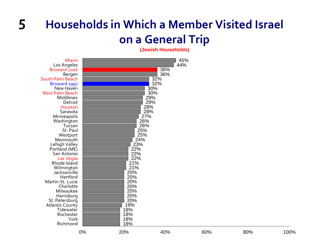#### **5 Households in Whicha Member Visited Israel on a General Trip**

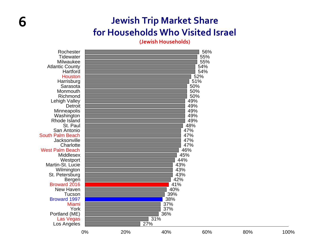### **Jewish Trip Market Share for Households Who Visited Israel**

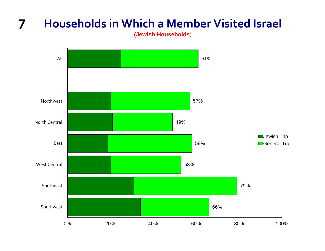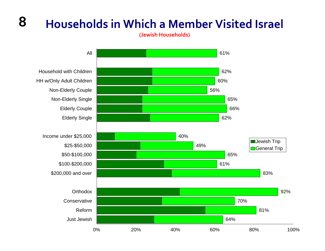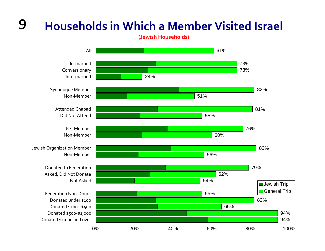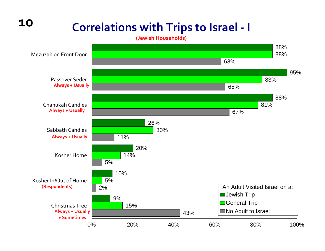## **Correlations with Trips to Israel ‐ <sup>I</sup>**

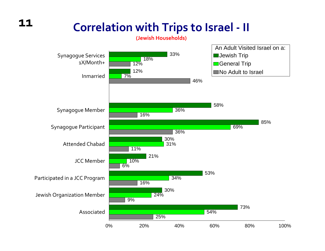### **11**

## **Correlation with Trips to Israel ‐ II**

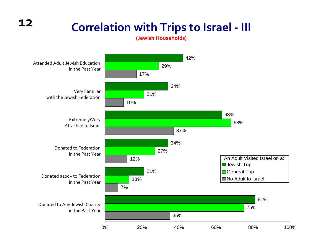## **Correlation with Trips to Israel ‐ III**

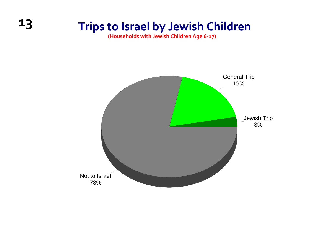### **13 Trips to Israel by Jewish Children**

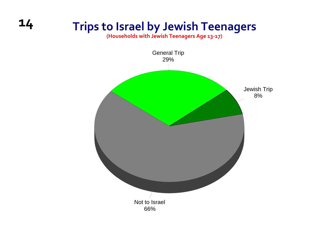### **14 Trips to Israel by Jewish Teenagers**

**(Households with Jewish Teenagers Age 13‐17)**

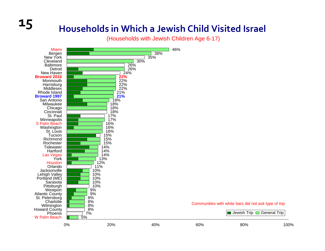## **15 Households in Whicha Jewish Child Visited Israel**

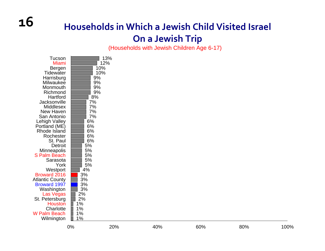### **Households in Which <sup>a</sup> Jewish Child Visited Israel On <sup>a</sup> Jewish Trip**

| Tucson<br>Miami<br>Bergen<br>Tidewater<br>Harrisburg<br>Milwaukee<br>Monmouth<br>Richmond<br>Hartford<br>Jacksonville<br>Middlesex<br>New Haven<br>San Antonio<br>Lehigh Valley<br>Portland (ME)<br><b>Rhode Island</b><br>Rochester<br>St. Paul<br>Detroit<br>Minneapolis<br>S Palm Beach | 13%<br>12%<br>10%<br>10%<br>9%<br>9%<br>9%<br>9%<br>8%<br>7%<br>7%<br>7%<br>7%<br>6%<br>6%<br>6%<br>6%<br>6%<br>5%<br>5%<br>5% |
|--------------------------------------------------------------------------------------------------------------------------------------------------------------------------------------------------------------------------------------------------------------------------------------------|--------------------------------------------------------------------------------------------------------------------------------|
| Sarasota                                                                                                                                                                                                                                                                                   | 5%                                                                                                                             |
| York<br>Westport                                                                                                                                                                                                                                                                           | 5%<br>4%                                                                                                                       |
| <b>Broward 2016</b>                                                                                                                                                                                                                                                                        | 3%                                                                                                                             |
| <b>Atlantic County</b><br><b>Broward 1997</b>                                                                                                                                                                                                                                              | 3%<br>3%                                                                                                                       |
| Washington                                                                                                                                                                                                                                                                                 | 3%                                                                                                                             |
| Las Vegas                                                                                                                                                                                                                                                                                  | 2%                                                                                                                             |
| St. Petersburg                                                                                                                                                                                                                                                                             | 2%                                                                                                                             |
| <b>Houston</b><br>Charlotte                                                                                                                                                                                                                                                                | 1%<br>1%                                                                                                                       |
| W Palm Beach                                                                                                                                                                                                                                                                               | 1%                                                                                                                             |
| Wilmington                                                                                                                                                                                                                                                                                 | 1%                                                                                                                             |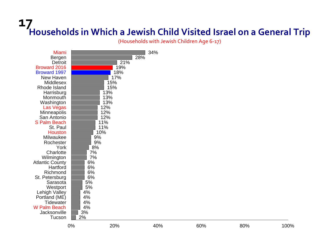# **17Households in Which <sup>a</sup> Jewish Child Visited Israel on <sup>a</sup> General Trip**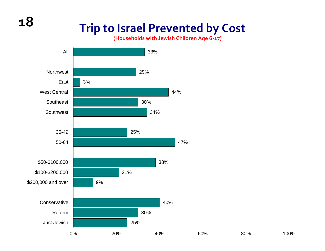### **Trip to Israel Prevented by Cost**

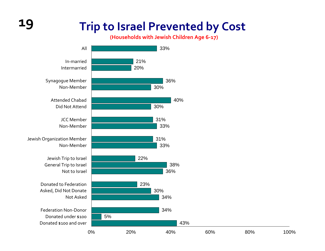### **19 Trip to Israel Prevented by Cost**

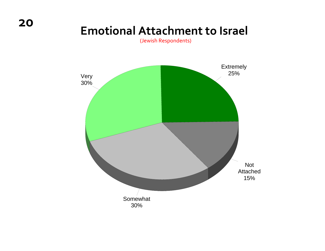### **Emotional Attachment to Israel**

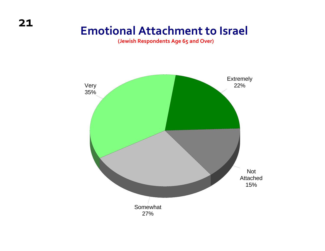### **Emotional Attachment to Israel**

**(Jewish Respondents Age 65 and Over)**

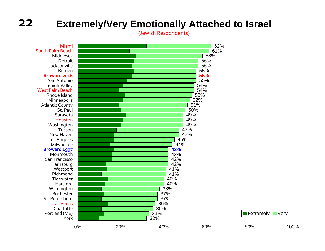(Jewish Respondents)

 $\blacksquare$ Extremely  $\blacksquare$ Very

62% 61%58%.<br>56% 56% 55% **55%** 55% 54% 54% 53% 52% 51%50%49%49%49%47%47%45% 44% **42%** 42% 42%42%41% 41% 40% 40% 38% 37% 37%36% 35% 33% 32%MiamiSouth Palm Beach MiddlesexDetroitJacksonvilleBergen **Broward 2016** San AntonioLehigh Valley West Palm Beach Rhode IslandMinneapolis Atlantic County St. Paul SarasotaHoustonWashington TucsonNew Haven Los Angeles Milwaukee**Broward 1997 Monmouth** San FranciscoHarrisburg **Westport Richmond Tidewater** Hartford Wilmington RochesterSt. Petersburg Las Vegas CharlottePortland (ME) York0% 20% 40% 60% 80% 100%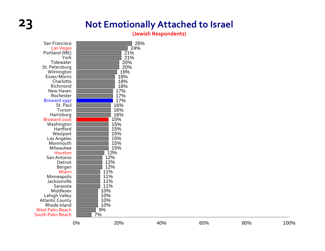### **23 Not Emotionally Attached to Israel**

**(Jewish Respondents)**

| San Francisco<br>Las Vegas<br>Portland (ME)<br>York<br>Tidewater<br>St. Petersburg<br>Wilmington<br>Essex-Morris<br>Charlotte<br>Richmond<br>New Haven<br>Rochester<br>Broward 1997<br>St. Paul<br>Tucson<br>Harrisburg<br>Broward 2016<br>Washington<br>Hartford<br>Westport<br>Los Angeles<br>Monmouth<br>Milwaukee<br>Houston | 26%<br>24%<br>21%<br>21%<br>20%<br>20%<br>19%<br>18%<br>18%<br>18%<br>17%<br>17%<br>17%<br>16%<br>16%<br>16%<br>15%<br>15%<br>15%<br>15%<br>15%<br>15%<br>15%<br>13% |
|----------------------------------------------------------------------------------------------------------------------------------------------------------------------------------------------------------------------------------------------------------------------------------------------------------------------------------|----------------------------------------------------------------------------------------------------------------------------------------------------------------------|
|                                                                                                                                                                                                                                                                                                                                  |                                                                                                                                                                      |
|                                                                                                                                                                                                                                                                                                                                  |                                                                                                                                                                      |
|                                                                                                                                                                                                                                                                                                                                  |                                                                                                                                                                      |
|                                                                                                                                                                                                                                                                                                                                  |                                                                                                                                                                      |
|                                                                                                                                                                                                                                                                                                                                  |                                                                                                                                                                      |
|                                                                                                                                                                                                                                                                                                                                  |                                                                                                                                                                      |
|                                                                                                                                                                                                                                                                                                                                  |                                                                                                                                                                      |
|                                                                                                                                                                                                                                                                                                                                  |                                                                                                                                                                      |
|                                                                                                                                                                                                                                                                                                                                  |                                                                                                                                                                      |
|                                                                                                                                                                                                                                                                                                                                  |                                                                                                                                                                      |
|                                                                                                                                                                                                                                                                                                                                  |                                                                                                                                                                      |
|                                                                                                                                                                                                                                                                                                                                  |                                                                                                                                                                      |
| San Antonio                                                                                                                                                                                                                                                                                                                      | 12%                                                                                                                                                                  |
| Detroit                                                                                                                                                                                                                                                                                                                          | 12%                                                                                                                                                                  |
| Bergen                                                                                                                                                                                                                                                                                                                           | 12%                                                                                                                                                                  |
| Miami                                                                                                                                                                                                                                                                                                                            | 11%                                                                                                                                                                  |
| Minneapolis                                                                                                                                                                                                                                                                                                                      | 11%                                                                                                                                                                  |
| Jacksonville                                                                                                                                                                                                                                                                                                                     | 11%                                                                                                                                                                  |
| Sarasota                                                                                                                                                                                                                                                                                                                         | 11%                                                                                                                                                                  |
| Middlesex                                                                                                                                                                                                                                                                                                                        | 10%                                                                                                                                                                  |
| Lehigh Valley                                                                                                                                                                                                                                                                                                                    | 10%                                                                                                                                                                  |
| <b>Atlantic County</b>                                                                                                                                                                                                                                                                                                           | 10%                                                                                                                                                                  |
| Rhode Island                                                                                                                                                                                                                                                                                                                     | 10%                                                                                                                                                                  |
| <b>West Palm Beach</b>                                                                                                                                                                                                                                                                                                           | 9%                                                                                                                                                                   |
| South Palm Beach                                                                                                                                                                                                                                                                                                                 | 7%                                                                                                                                                                   |
|                                                                                                                                                                                                                                                                                                                                  |                                                                                                                                                                      |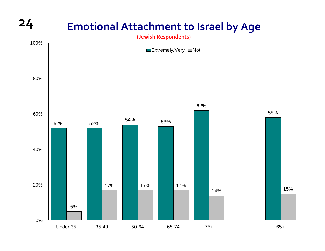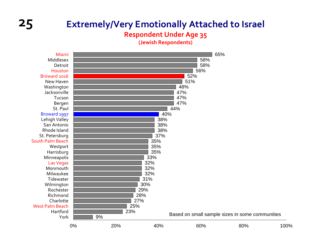#### **Respondent Under Age 35**

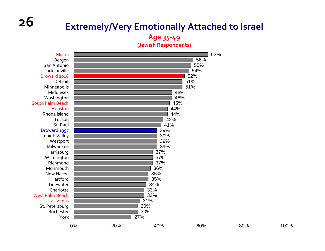**Age 35‐49 (Jewish Respondents)**

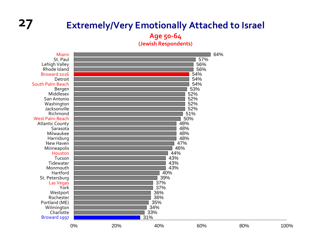**Age 50‐64**

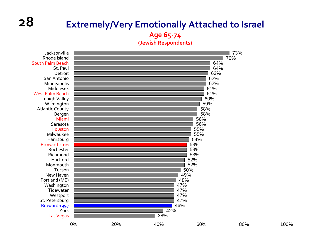## **28**

#### **Extremely/Very Emotionally Attached to Israel Age 65‐74**

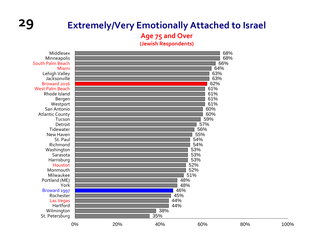

#### **Age 75 and Over**

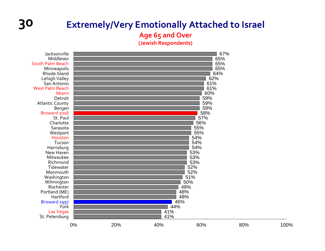#### **Age 65 and Over**

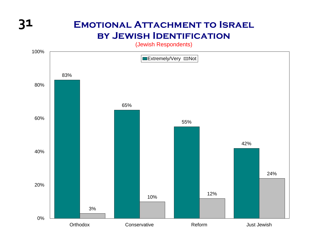### **31 Emotional Attachment to Israel by Jewish Identification**

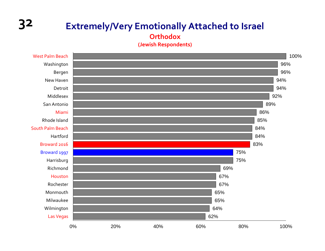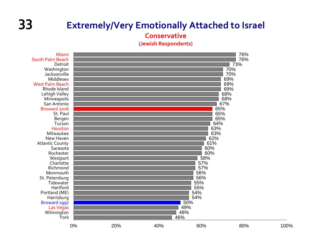**Conservative**

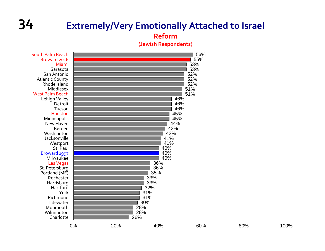#### **Reform**

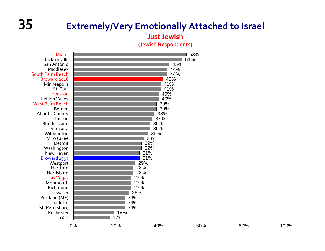#### **Just Jewish**

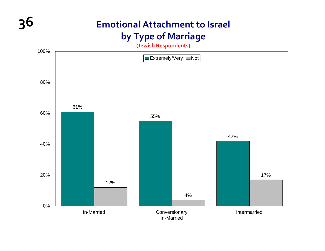### **36 Emotional Attachment to Israel by Type of Marriage**

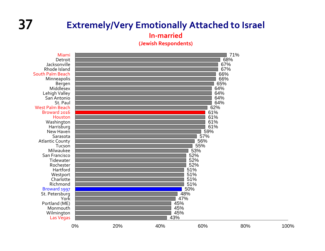#### **37 Extremely/Very Emotionally Attached to Israel**

**In‐married**

**(Jewish Respondents)**

71%68% 67% 67% 66% 66% 65% 64% 64% 64% 64% 62% 61% 61% 61% 61% 59% 57% 56% 55%53% 52% 52% 52% 51% 51% 51% 51% 50% 48% 47% 45% 45% 45% 43%MiamiDetroitJacksonvilleRhode IslandSouth Palm Beach Minneapolis Bergen MiddlesexLehigh Valley San Antonio St. Paul West Palm Beach Broward 2016 HoustonWashington **Harrisburg** New Haven SarasotaAtlantic County TucsonMilwaukee San Francisco **Tidewater** RochesterHartford**Westport Charlotte** RichmondBroward 1997 St. Petersburg YorkPortland (ME) MonmouthWilmington Las Vegas 0% 20% 40% 60% 80% 100%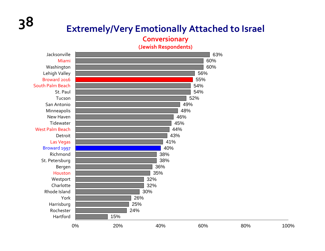# **38 Extremely/Very Emotionally Attached to Israel**

#### **Conversionary**

**(Jewish Respondents)**

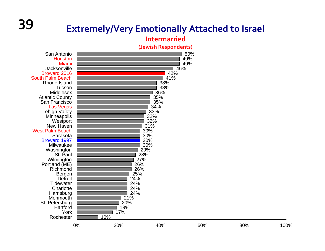# **<sup>39</sup> Extremely/Very Emotionally Attached to Israel**

#### **Intermarried**

**(Jewish Respondents)**

San AntonioHoustonMiami JacksonvilleBroward 2016 South Palm Beach Rhode IslandTucson Middlesex Atlantic County San Francisco Las Vegas Lehigh Valley **Minneapolis Westport** New Haven West Palm BeachSarasotaBroward 1997 Milwaukee Washington St. Paul Wilmington Portland (ME) **Richmond** Bergen **Detroit Tidewater Charlotte Harrisburg Monmouth**  St. Petersburg **Hartford** YorkRochester

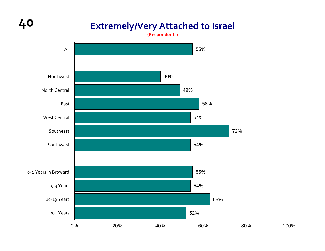#### **40 Extremely/Very Attached to Israel**

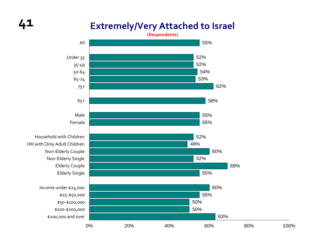## **41**

#### **Extremely/Very Attached to Israel**

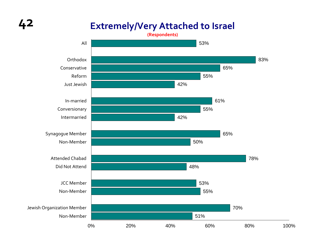#### **Extremely/Very Attached to Israel**

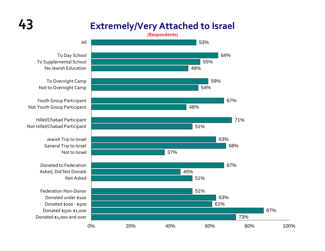#### **Extremely/Very Attached to Israel**

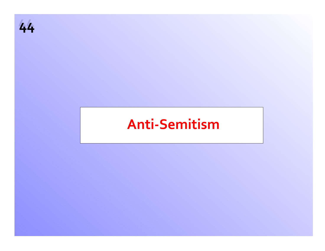

## **Anti‐Semitism**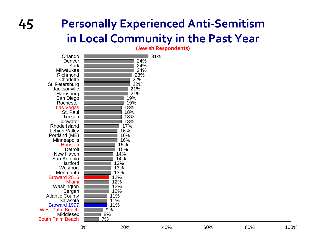## **Personally Experienced Anti ‐Semitism in Local Community in the Past Year**

**(Jewish Respondents)**

| Orlando<br>Denver<br>York<br>Milwaukee<br>Richmond<br>Charlotte<br>St. Petersburg<br>Jacksonville<br>Harrisburg<br>San Diego<br>Rochester<br>Las Vegas<br>St. Paul<br>Tucson<br><b>Tidewater</b><br>Rhode Island<br><b>Lehigh Valley</b><br>Portland (ME)<br><b>Minneapolis</b><br><b>Houston</b><br><b>Detroit</b><br>New Haven<br>San Antonio<br>Hartford<br>Westport<br>Monmouth<br><b>Broward 2016</b><br><b>Miami</b><br>Washington<br>Bergen<br><b>Atlantic County</b><br>Sarasota<br><b>Broward 1997</b><br><b>West Palm Beach</b><br><b>Middlesex</b><br>South Palm Beach | 24%<br>24%<br>24%<br>23%<br>22%<br>22%<br>21%<br>21%<br>19%<br>19%<br>18%<br>18%<br>18%<br>18%<br>17%<br>16%<br>16%<br>16%<br>15%<br>15%<br>14%<br>14%<br>13%<br>13%<br>13%<br>12%<br>12%<br>12%<br>12%<br>11%<br>11%<br>11%<br>9%<br>8%<br>7% | 31% |
|-----------------------------------------------------------------------------------------------------------------------------------------------------------------------------------------------------------------------------------------------------------------------------------------------------------------------------------------------------------------------------------------------------------------------------------------------------------------------------------------------------------------------------------------------------------------------------------|------------------------------------------------------------------------------------------------------------------------------------------------------------------------------------------------------------------------------------------------|-----|
|-----------------------------------------------------------------------------------------------------------------------------------------------------------------------------------------------------------------------------------------------------------------------------------------------------------------------------------------------------------------------------------------------------------------------------------------------------------------------------------------------------------------------------------------------------------------------------------|------------------------------------------------------------------------------------------------------------------------------------------------------------------------------------------------------------------------------------------------|-----|

**45**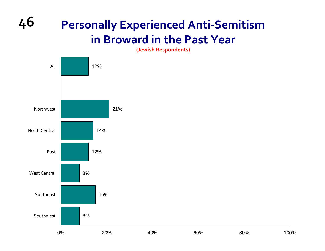## **Personally Experienced Anti‐Semitism in Broward in the Past Year**

**46**

**(Jewish Respondents)**

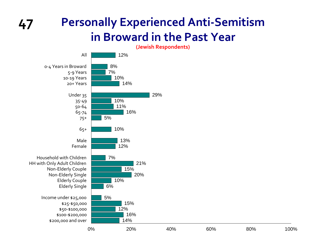#### **Personally Experienced Anti‐Semitism in Broward in the Past Year**



**47**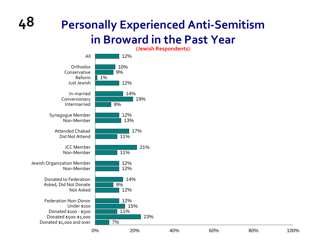## **Personally Experienced Anti‐Semitism in Broward in the Past Year**

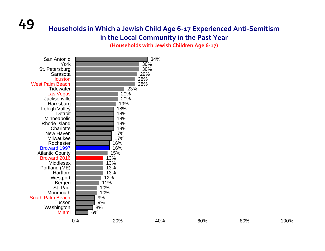#### **49 Households in Which <sup>a</sup> Jewish Child Age 6‐<sup>17</sup> Experienced Anti‐Semitism in the Local Community in the Past Year**

**(Households with Jewish Children Age 6‐17)**

| Sarasota<br>Houston<br><b>West Palm Beach</b><br>Tidewater<br>Las Vegas<br>Jacksonville<br>Harrisburg<br>Lehigh Valley<br>Detroit<br>Minneapolis<br>Rhode Island<br>Charlotte<br>New Haven<br>Milwaukee<br>Rochester<br><b>Broward 1997</b><br><b>Atlantic County</b><br>Broward 2016<br>Middlesex<br>Portland (ME)<br>Hartford<br>Westport<br>Bergen<br>St. Paul<br>Monmouth<br>South Palm Beach<br>Tucson<br>Washington | 13%<br>13%<br>13%<br>13%<br>12%<br>11%<br>10%<br>10%<br>9%<br>9%<br>8% | 23%<br>20%<br>20%<br>19%<br>18%<br>18%<br>18%<br>18%<br>18%<br>17%<br>17%<br>16%<br>16%<br>15% |     |     |      |
|---------------------------------------------------------------------------------------------------------------------------------------------------------------------------------------------------------------------------------------------------------------------------------------------------------------------------------------------------------------------------------------------------------------------------|------------------------------------------------------------------------|------------------------------------------------------------------------------------------------|-----|-----|------|
| Miami                                                                                                                                                                                                                                                                                                                                                                                                                     | 6%<br>$0\%$                                                            | 20%<br>40%                                                                                     | 60% | 80% | 100% |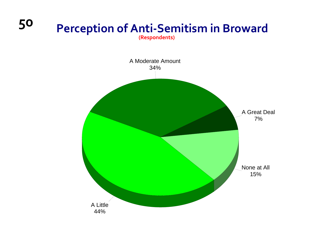#### **<sup>50</sup> Perception of Anti‐Semitism in Broward (Respondents)**

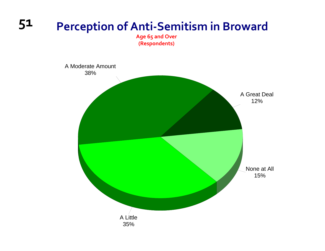# **51 Perception of Anti‐Semitism in Broward**

**Age 65 and Over (Respondents)**

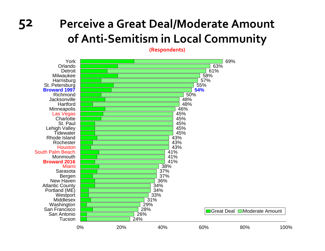## **52 Perceive <sup>a</sup> Great Deal/Moderate Amount of Anti‐Semitism in Local Community**

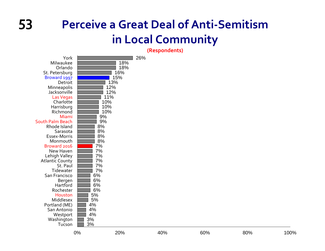## **53 Perceive <sup>a</sup> Great Deal of Anti‐Semitism in Local Community**

| York<br>Milwaukee<br>Orlando<br>St. Petersburg<br>Broward 1997<br>Detroit<br>Minneapolis<br>Jacksonville<br>Las Vegas<br>Charlotte<br>Harrisburg<br>Richmond<br>Miami<br>South Palm Beach<br>Rhode Island<br>Sarasota<br>Essex-Morris<br>Monmouth<br>Broward 2016<br>New Haven<br>Lehigh Valley<br><b>Atlantic County</b><br>St. Paul<br>Tidewater<br>San Francisco<br>Bergen<br>Hartford<br>Rochester<br>Houston<br>Middlesex<br>Portland (ME)<br>San Antonio<br>Westport<br>Washington | 18%<br>18%<br>16%<br>15%<br>13%<br>12%<br>12%<br>11%<br>10%<br>10%<br>10%<br>9%<br>9%<br>8%<br>8%<br>8%<br>8%<br>7%<br>7%<br>7%<br>7%<br>7%<br>7%<br>6%<br>6%<br>6%<br>6%<br>5%<br>5%<br>4%<br>4%<br>4%<br>3% |     |     |     |      |
|------------------------------------------------------------------------------------------------------------------------------------------------------------------------------------------------------------------------------------------------------------------------------------------------------------------------------------------------------------------------------------------------------------------------------------------------------------------------------------------|---------------------------------------------------------------------------------------------------------------------------------------------------------------------------------------------------------------|-----|-----|-----|------|
| Tucson                                                                                                                                                                                                                                                                                                                                                                                                                                                                                   | 3%<br>0%<br>20%                                                                                                                                                                                               | 40% | 60% | 80% | 100% |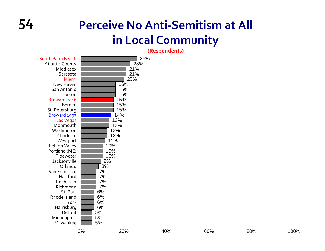## **54 Perceive No Anti‐Semitism at All in Local Community**

| South Palm Beach       | 26% |
|------------------------|-----|
| <b>Atlantic County</b> | 23% |
| Middlesex              | 21% |
| Sarasota               | 21% |
| Miami                  | 20% |
| New Haven              | 16% |
| San Antonio            | 16% |
| Tucson                 | 16% |
| Broward 2016           | 15% |
| Bergen                 | 15% |
| St. Petersburg         | 15% |
| Broward 1997           | 14% |
| Las Vegas              | 13% |
| Monmouth               | 13% |
| Washington             | 12% |
| Charlotte              | 12% |
| Westport               | 11% |
| Lehigh Valley          | 10% |
| Portland (ME)          | 10% |
| Tidewater              | 10% |
| Jacksonville           | 9%  |
| Orlando                | 8%  |
| San Francisco          | 7%  |
| Hartford               | 7%  |
| Rochester              | 7%  |
| Richmond               | 7%  |
| St. Paul               | 6%  |
| Rhode Island           | 6%  |
| York                   | 6%  |
| Harrisburg             | 6%  |
| Detroit                | 5%  |
| Minneapolis            | 5%  |
| Milwaukee              | 5%  |
|                        |     |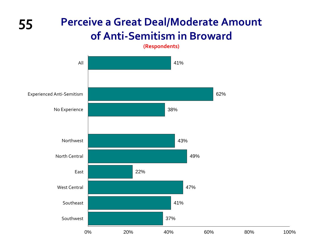#### **55 Perceive <sup>a</sup> Great Deal/Moderate Amount of Anti‐Semitism in Broward**

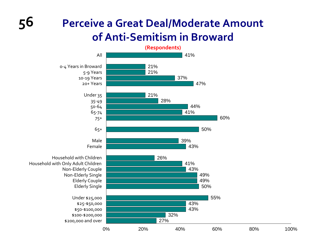#### **Perceive a Great Deal/Moderate Amount of Anti‐Semitism in Broward**

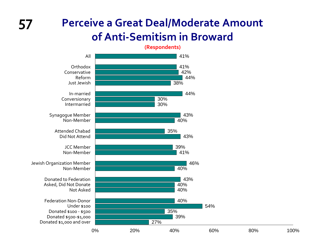#### **Perceive a Great Deal/Moderate Amount of Anti‐Semitism in Broward**

**(Respondents)**

41%41%42%44%38%44%30%30%43%40%35%43% 39%41%46%40%43%40%40%40%54%35%39%27%All **Orthodox** ConservativeReformJust JewishIn‐marriedConversionary IntermarriedSynagogue Member Non‐MemberAttended Chabad Did Not Attend JCC Member Non‐MemberJewish Organization Member Non‐MemberDonated to Federation Asked, Did Not Donate Not AskedFederation Non‐Donor Under \$100Donated \$100 ‐ \$500 Donated \$500‐\$1,000 Donated \$1,000 and over

0% 20% 40% 60% 80% 100%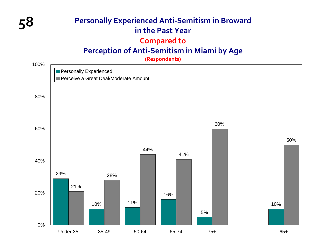#### **58 Personally Experienced Anti‐Semitism in Broward in the Past Year Compared to Perception of Anti‐Semitism in Miami by Age**

**(Respondents)**

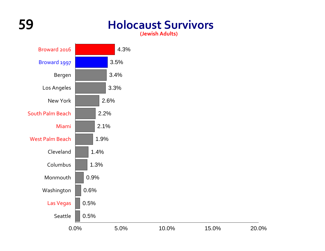## **59 Holocaust Survivors**

**(Jewish Adults)**



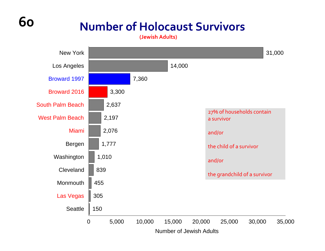## **Number of Holocaust Survivors**

**(Jewish Adults)**

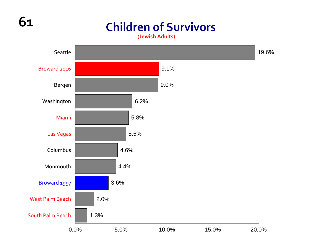## **61**

## **Children of Survivors**

**(Jewish Adults)**

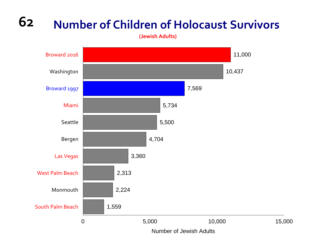#### **62Number of Children of Holocaust Survivors**

**(Jewish Adults)**

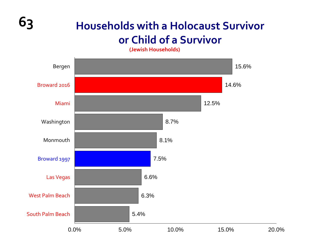

## **63 Households with <sup>a</sup> Holocaust Survivor or Child of <sup>a</sup> Survivor**

**(Jewish Households)**

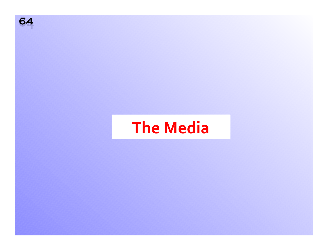

# **The Media**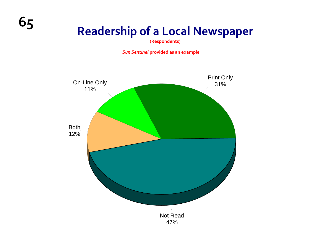**(Respondents)**

*Sun Sentinel* **provided as an example**

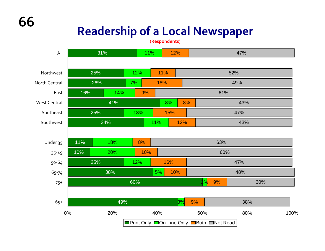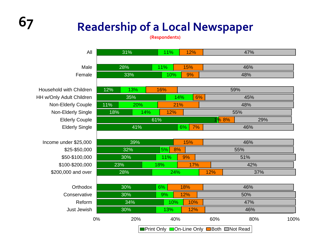| All                             | 31% |     | 11%<br>12% |            |           | 47% |                                                  |                     |      |  |  |
|---------------------------------|-----|-----|------------|------------|-----------|-----|--------------------------------------------------|---------------------|------|--|--|
|                                 |     |     |            |            |           |     |                                                  |                     |      |  |  |
| Male                            | 28% |     | 11%<br>15% |            |           | 46% |                                                  |                     |      |  |  |
| Female                          | 33% |     |            | 10%        |           | 9%  |                                                  | 48%                 |      |  |  |
|                                 |     |     |            |            |           |     |                                                  |                     |      |  |  |
| <b>Household with Children</b>  | 12% | 13% |            | 16%        |           |     |                                                  | 59%                 |      |  |  |
| <b>HH w/Only Adult Children</b> |     | 35% |            |            | 14%<br>6% |     |                                                  | 45%                 |      |  |  |
| Non-Elderly Couple              | 11% | 20% |            | 21%        |           |     |                                                  | 48%                 |      |  |  |
| Non-Elderly Single              | 18% |     | 14%        | 12%        |           |     |                                                  | 55%                 |      |  |  |
| <b>Elderly Couple</b>           |     |     |            | 61%        |           |     |                                                  | 1 <mark>% 8%</mark> | 29%  |  |  |
| <b>Elderly Single</b>           | 41% |     |            | 6%<br>7%   |           |     | 46%                                              |                     |      |  |  |
|                                 |     |     |            |            |           |     |                                                  |                     |      |  |  |
| Income under \$25,000           | 39% |     |            | 15%        |           |     | 46%                                              |                     |      |  |  |
| \$25-\$50,000                   |     | 32% |            | 5%<br>8%   |           |     | 55%                                              |                     |      |  |  |
| \$50-\$100,000                  |     | 30% |            | 11%        |           | 9%  |                                                  | 51%                 |      |  |  |
| \$100-\$200,000                 | 23% |     |            | 17%<br>18% |           |     | 42%                                              |                     |      |  |  |
| \$200,000 and over              |     | 28% |            | 24%        |           |     | 12%                                              | 37%                 |      |  |  |
|                                 |     |     |            |            |           |     |                                                  |                     |      |  |  |
| Orthodox                        |     | 30% |            | 18%<br>6%  |           |     | 46%                                              |                     |      |  |  |
| Conservative                    |     | 30% |            | 12%<br>9%  |           |     | 50%                                              |                     |      |  |  |
| Reform                          |     | 34% |            | 10%<br>10% |           |     | 47%                                              |                     |      |  |  |
| Just Jewish                     | 30% |     |            | 13%<br>12% |           |     | 46%                                              |                     |      |  |  |
| 0%                              |     | 20% |            | 40%        |           | 60% | 80%                                              |                     | 100% |  |  |
|                                 |     |     |            |            |           |     | <b>■Print Only ■On-Line Only ■Both ■Not Read</b> |                     |      |  |  |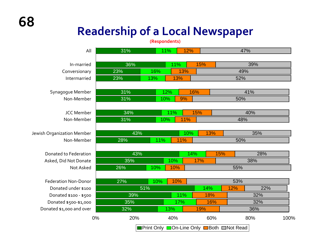| All                         | 31% |     | 11% | 12% |                                                   | 47% |     |      |
|-----------------------------|-----|-----|-----|-----|---------------------------------------------------|-----|-----|------|
| In-married                  | 36% |     | 11% |     | 15%                                               |     | 39% |      |
| Conversionary               | 23% | 16% |     | 13% |                                                   | 49% |     |      |
| Intermarried                | 23% | 13% | 13% |     |                                                   | 52% |     |      |
| Synagogue Member            | 31% |     | 12% | 16% |                                                   |     | 41% |      |
| Non-Member                  | 31% | 10% |     | 9%  |                                                   | 50% |     |      |
| <b>JCC Member</b>           | 34% |     | 11% | 15% |                                                   |     | 40% |      |
| Non-Member                  | 31% | 10% |     | 11% |                                                   | 48% |     |      |
| Jewish Organization Member  | 43% |     |     | 10% | 13%                                               |     | 35% |      |
| Non-Member                  | 28% | 11% | 11% |     |                                                   | 50% |     |      |
| Donated to Federation       | 43% |     |     | 14% | 15%                                               |     | 28% |      |
| Asked, Did Not Donate       | 35% |     | 10% | 17% |                                                   |     | 38% |      |
| Not Asked                   | 26% | 10% | 10% |     |                                                   | 55% |     |      |
| <b>Federation Non-Donor</b> | 27% | 10% | 10% |     |                                                   | 53% |     |      |
| Donated under \$100         | 51% |     |     |     | 14%                                               | 12% | 22% |      |
| Donated \$100 - \$500       | 39% |     | 11% |     | 18%                                               |     | 32% |      |
| Donated \$500-\$1,000       | 35% |     | 17% |     | 16%                                               |     | 32% |      |
| Donated \$1,000 and over    | 32% |     | 13% |     | 19%                                               |     | 36% |      |
| 0%                          | 20% |     | 40% |     | 60%                                               |     | 80% | 100% |
|                             |     |     |     |     | <b>Print Only Don-Line Only Debara Donal Read</b> |     |     |      |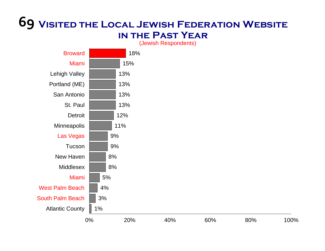#### **69 Visited the Local Jewish Federation Website in the Past Year**

18%15%13%13% 13%13%12%11%9%9%8%8%5%4%3%1%BrowardMiamiLehigh Valley Portland (ME) San AntonioSt. Paul **Detroit Minneapolis** Las Vegas **Tucson** New Haven**Middlesex** MiamiWest Palm BeachSouth Palm BeachAtlantic County

(Jewish Respondents)

0% 20% 40% 60% 80% 100%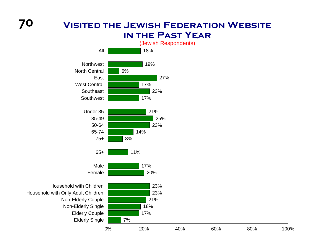#### **Visited the Jewish Federation Website in the Past Year**



Household with Only Adult Children Non-Elderly Couple Non-Elderly Single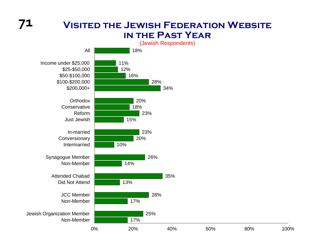#### **Visited the Jewish Federation Website in the Past Year**



**71**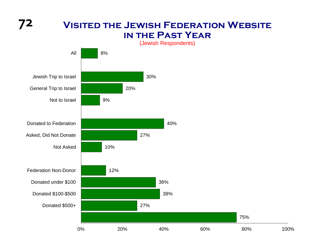**72**

#### **Visited the Jewish Federation Website in the Past Year**

(Jewish Respondents)

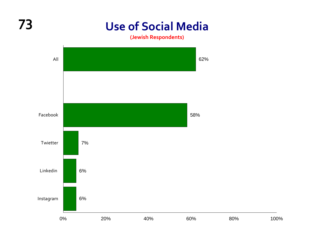## **Use of Social Media**

**(Jewish Respondents)**



**73**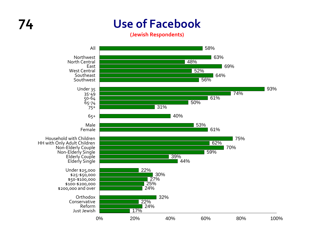## **Use of Facebook**

**(Jewish Respondents)**